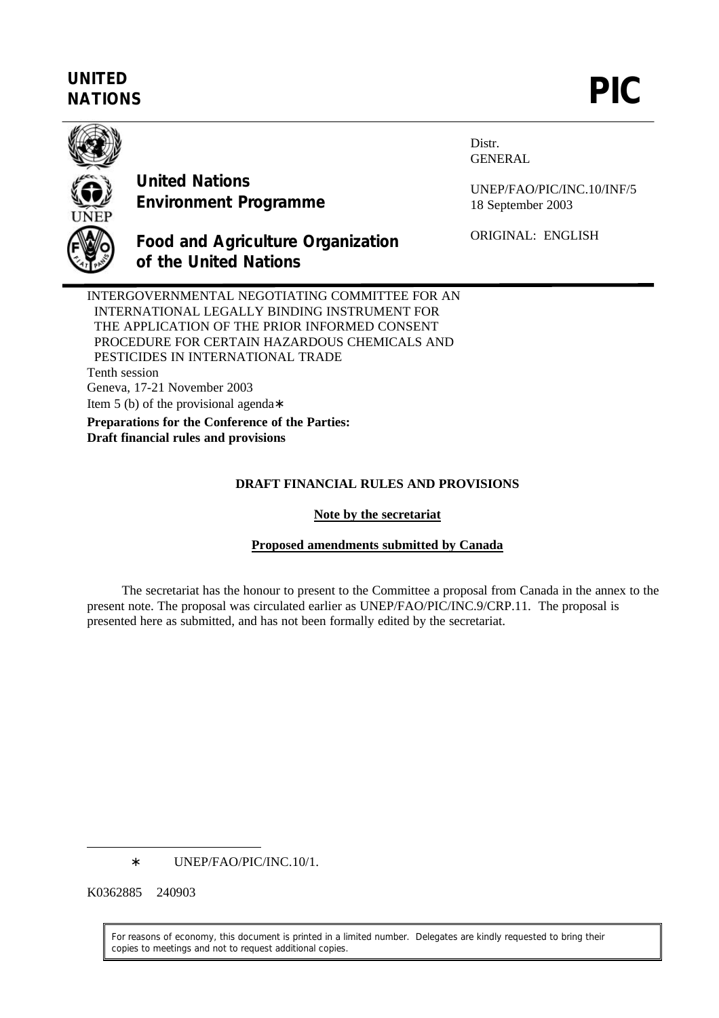# **UNITED** UNITED<br>NATIONS **PIC**



**United Nations Environment Programme**

**of the United Nations**

Distr. GENERAL

UNEP/FAO/PIC/INC.10/INF/5 18 September 2003

ORIGINAL: ENGLISH

INTERGOVERNMENTAL NEGOTIATING COMMITTEE FOR AN INTERNATIONAL LEGALLY BINDING INSTRUMENT FOR THE APPLICATION OF THE PRIOR INFORMED CONSENT PROCEDURE FOR CERTAIN HAZARDOUS CHEMICALS AND PESTICIDES IN INTERNATIONAL TRADE Tenth session Geneva, 17-21 November 2003 Item 5 (b) of the provisional agenda∗

**Food and Agriculture Organization**

**Preparations for the Conference of the Parties: Draft financial rules and provisions**

## **DRAFT FINANCIAL RULES AND PROVISIONS**

### **Note by the secretariat**

## **Proposed amendments submitted by Canada**

The secretariat has the honour to present to the Committee a proposal from Canada in the annex to the present note. The proposal was circulated earlier as UNEP/FAO/PIC/INC.9/CRP.11. The proposal is presented here as submitted, and has not been formally edited by the secretariat.

∗ UNEP/FAO/PIC/INC.10/1.

K0362885 240903

 $\overline{a}$ 

For reasons of economy, this document is printed in a limited number. Delegates are kindly requested to bring their copies to meetings and not to request additional copies.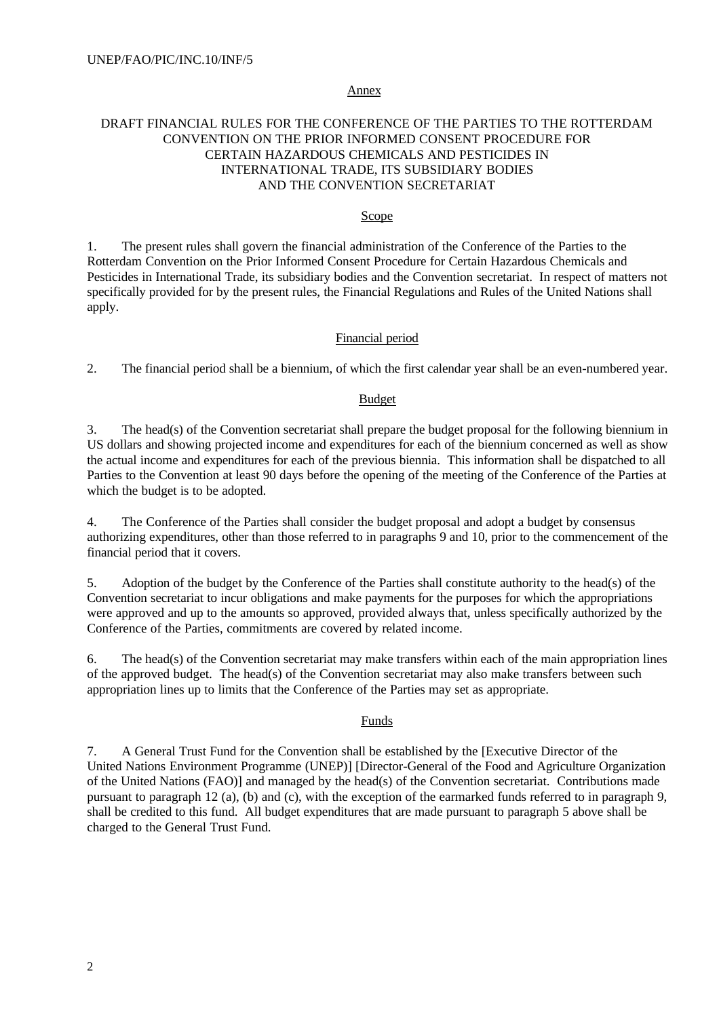#### Annex

## DRAFT FINANCIAL RULES FOR THE CONFERENCE OF THE PARTIES TO THE ROTTERDAM CONVENTION ON THE PRIOR INFORMED CONSENT PROCEDURE FOR CERTAIN HAZARDOUS CHEMICALS AND PESTICIDES IN INTERNATIONAL TRADE, ITS SUBSIDIARY BODIES AND THE CONVENTION SECRETARIAT

#### Scope

1. The present rules shall govern the financial administration of the Conference of the Parties to the Rotterdam Convention on the Prior Informed Consent Procedure for Certain Hazardous Chemicals and Pesticides in International Trade, its subsidiary bodies and the Convention secretariat. In respect of matters not specifically provided for by the present rules, the Financial Regulations and Rules of the United Nations shall apply.

#### Financial period

2. The financial period shall be a biennium, of which the first calendar year shall be an even-numbered year.

#### Budget

3. The head(s) of the Convention secretariat shall prepare the budget proposal for the following biennium in US dollars and showing projected income and expenditures for each of the biennium concerned as well as show the actual income and expenditures for each of the previous biennia. This information shall be dispatched to all Parties to the Convention at least 90 days before the opening of the meeting of the Conference of the Parties at which the budget is to be adopted.

4. The Conference of the Parties shall consider the budget proposal and adopt a budget by consensus authorizing expenditures, other than those referred to in paragraphs 9 and 10, prior to the commencement of the financial period that it covers.

5. Adoption of the budget by the Conference of the Parties shall constitute authority to the head(s) of the Convention secretariat to incur obligations and make payments for the purposes for which the appropriations were approved and up to the amounts so approved, provided always that, unless specifically authorized by the Conference of the Parties, commitments are covered by related income.

6. The head(s) of the Convention secretariat may make transfers within each of the main appropriation lines of the approved budget. The head(s) of the Convention secretariat may also make transfers between such appropriation lines up to limits that the Conference of the Parties may set as appropriate.

#### Funds

7. A General Trust Fund for the Convention shall be established by the [Executive Director of the United Nations Environment Programme (UNEP)] [Director-General of the Food and Agriculture Organization of the United Nations (FAO)] and managed by the head(s) of the Convention secretariat. Contributions made pursuant to paragraph 12 (a), (b) and (c), with the exception of the earmarked funds referred to in paragraph 9, shall be credited to this fund. All budget expenditures that are made pursuant to paragraph 5 above shall be charged to the General Trust Fund.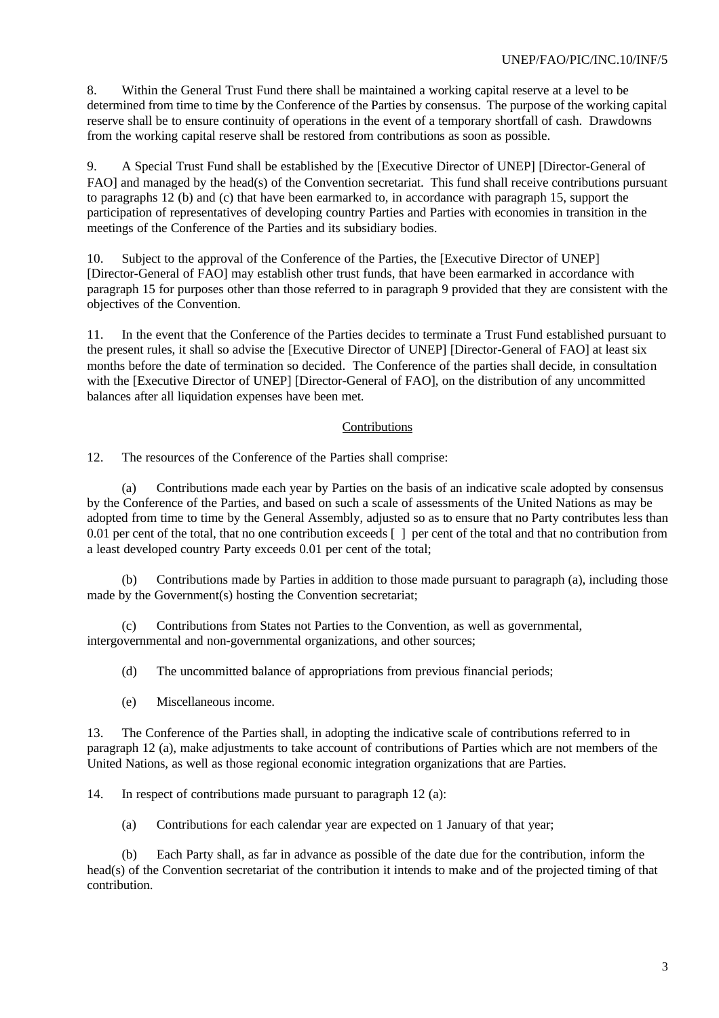8. Within the General Trust Fund there shall be maintained a working capital reserve at a level to be determined from time to time by the Conference of the Parties by consensus. The purpose of the working capital reserve shall be to ensure continuity of operations in the event of a temporary shortfall of cash. Drawdowns from the working capital reserve shall be restored from contributions as soon as possible.

9. A Special Trust Fund shall be established by the [Executive Director of UNEP] [Director-General of FAO] and managed by the head(s) of the Convention secretariat. This fund shall receive contributions pursuant to paragraphs 12 (b) and (c) that have been earmarked to, in accordance with paragraph 15, support the participation of representatives of developing country Parties and Parties with economies in transition in the meetings of the Conference of the Parties and its subsidiary bodies.

10. Subject to the approval of the Conference of the Parties, the [Executive Director of UNEP] [Director-General of FAO] may establish other trust funds, that have been earmarked in accordance with paragraph 15 for purposes other than those referred to in paragraph 9 provided that they are consistent with the objectives of the Convention.

11. In the event that the Conference of the Parties decides to terminate a Trust Fund established pursuant to the present rules, it shall so advise the [Executive Director of UNEP] [Director-General of FAO] at least six months before the date of termination so decided. The Conference of the parties shall decide, in consultation with the [Executive Director of UNEP] [Director-General of FAO], on the distribution of any uncommitted balances after all liquidation expenses have been met.

## Contributions

12. The resources of the Conference of the Parties shall comprise:

(a) Contributions made each year by Parties on the basis of an indicative scale adopted by consensus by the Conference of the Parties, and based on such a scale of assessments of the United Nations as may be adopted from time to time by the General Assembly, adjusted so as to ensure that no Party contributes less than 0.01 per cent of the total, that no one contribution exceeds [ ] per cent of the total and that no contribution from a least developed country Party exceeds 0.01 per cent of the total;

(b) Contributions made by Parties in addition to those made pursuant to paragraph (a), including those made by the Government(s) hosting the Convention secretariat;

(c) Contributions from States not Parties to the Convention, as well as governmental, intergovernmental and non-governmental organizations, and other sources;

(d) The uncommitted balance of appropriations from previous financial periods;

(e) Miscellaneous income.

13. The Conference of the Parties shall, in adopting the indicative scale of contributions referred to in paragraph 12 (a), make adjustments to take account of contributions of Parties which are not members of the United Nations, as well as those regional economic integration organizations that are Parties.

14. In respect of contributions made pursuant to paragraph 12 (a):

(a) Contributions for each calendar year are expected on 1 January of that year;

(b) Each Party shall, as far in advance as possible of the date due for the contribution, inform the head(s) of the Convention secretariat of the contribution it intends to make and of the projected timing of that contribution.